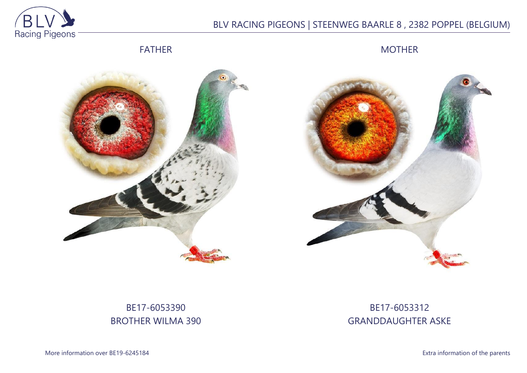

# BLV RACING PIGEONS | STEENWEG BAARLE 8 , 2382 POPPEL (BELGIUM)

FATHER

MOTHER





# BE17-6053390 BROTHER WILMA 390

## BE17-6053312 GRANDDAUGHTER ASKE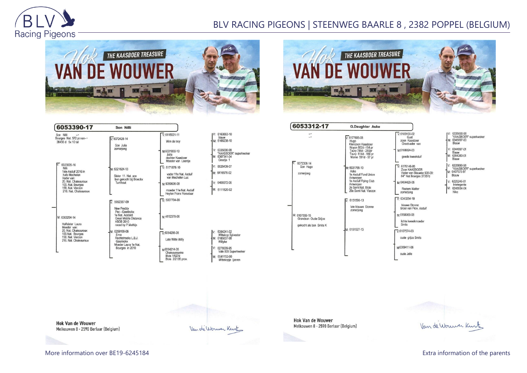

### BLV RACING PIGEONS | STEENWEG BAARLE 8 , 2382 POPPEL (BELGIUM)





| 6053390-17                                                                                                                                                                | Son Nilli                                                                                                                                |                                                                                                                                                                      |                                                                                                                                                 |
|---------------------------------------------------------------------------------------------------------------------------------------------------------------------------|------------------------------------------------------------------------------------------------------------------------------------------|----------------------------------------------------------------------------------------------------------------------------------------------------------------------|-------------------------------------------------------------------------------------------------------------------------------------------------|
| Son Nilli<br>Bourges Nat. 572 pr.van--<br>38456 d 5x 10 tal                                                                                                               | $V: 6072428 - 14$<br>Son Julia<br>zomeriona                                                                                              | $V: 6115021 - 11$<br>Wim de troy<br>M:6031800-10<br>Julia<br>dochter Kaasboer                                                                                        | IV: 6163863-10<br>blauw<br>M: 6166238-10<br>V: 6335690-98<br>"KAASBOER" superkw<br>M: 6307341-04                                                |
| $V: 6023005-16$<br>Nilli<br>1ste Asduif 2016 in<br>hafo Mechelen<br>Vader van:<br>20. Nat. Chateauroux<br>100. Nat. Bourges<br>158. Nat. Vierzon<br>216. Nat. Chateauroux | M: 6321624-13<br>Sister 11, Nat. ace<br>bon gekocht bij Broeckx<br>Turnhout                                                              | Moeder van Leentie<br>$V \cdot 6171878 - 10$<br>vader 11e Nat. Asduif<br>van Mechelen Luc<br>M:6050636-08<br>moeder 11e Nat. Asduif<br><b>Heylen Frans Vorselaar</b> | Greetie 1<br>V: 6026439-07<br>M: 6416576-02<br>V: 6409372-06<br>M: 6111820-02                                                                   |
| M: 6303294-14<br>Halfsister Laura<br>Moeder van:<br>20. Nat. Chateauroux<br>100.Nat. Bourges<br>158. Nat. Vierzon<br>216. Nat. Chateauroux                                | 5052387-09<br>New Freddy<br>Pec - Geerinckx<br>1e Nat. Acebird<br><b>Great Middle Distance</b><br><b>KBDB 2010</b><br>raced by P.Mathijs | $\overline{V}$ : 5007704-99<br>M-4112378-06                                                                                                                          |                                                                                                                                                 |
|                                                                                                                                                                           | M: 6259169-08<br>Erna<br>Rechtstreeks L.B.J.<br>Geerinckx<br>Moeder Laura 1e Nat.<br>Bourges in 2010                                     | $\nabla 6054295-05$<br>Late Witte Willy<br>M6054214-05<br>Chateaurouxke<br><b>Blois 1/627d</b><br>Blois 2/2135 prov.                                                 | V: 6354241-02<br>Wittekop Sylvester<br>M: 6185637-98<br>Willyke<br>V: 6278009-95<br>Vale 009 Superkweker<br>M: 6541152-00<br>Wittekopje ijzeren |

|  | 6163863-10<br>blauw                                                       |
|--|---------------------------------------------------------------------------|
|  | 1: 6166238-10                                                             |
|  | $/: 6335690 - 98$<br>"KAASBOER" superkweker<br>M: 6307341-04<br>Greetje 1 |
|  | V: 6026439-07                                                             |
|  | M: 6416576-02                                                             |
|  | V: 6409372-06                                                             |
|  | M: 6111820-02                                                             |
|  |                                                                           |
|  |                                                                           |
|  | 6354241-02<br>Wittekop Sylvester<br>6185637-98<br>Willyke                 |
|  |                                                                           |

| 6053312-17                                                       | <b>G.Daughter Aske</b>                                                                                                                          |                                                                                                                                                         |
|------------------------------------------------------------------|-------------------------------------------------------------------------------------------------------------------------------------------------|---------------------------------------------------------------------------------------------------------------------------------------------------------|
| - '<br>$\overline{\phantom{a}}$                                  | $V. 6177605-08$<br>Hugo<br>Kleinzoon Kaasboer<br>Noyon 802d -154 pr<br>Toury 786d - 250pr<br>Toury 614d - 169 pr<br>Marne 591d - 97 pr          | $V: 6183100-02$<br>Gust<br>zoon Kaasboer<br>Grootvader van<br>M:6108024-03<br>goede kweekduif                                                           |
| 6072308-14<br>Son Hugo<br>zomerjong                              | M: 6031765-10<br>Aske<br>1e Asduif Fond Union<br>Antwerpen<br>1e Asduif Flying Club<br>Antwerpen<br>2e Semi Nat. Blois<br>29e Semi Nat. Vierzon | $\nabla 6176146-05$<br>Zoon KAASBOER<br>Vader van Blauwk<br>64° Nat Bourges 3<br>M:6404429-06<br><b>Roziers Walter</b><br>zomerjong                     |
| M: 6107559-15<br>Grandson Oude Griize<br>gekocht als bon Smits K | $\overline{V}$ 6151590-13<br>late blauwe Stonne<br>zomerjong<br>M: 6151527-13                                                                   | $\nabla 6343254 - 10$<br>blauwe Stonne<br>broer van Prov. As<br>M-6158069-08<br>lichte kweekmoed<br><b>Smits</b><br>$V.6107574-03$<br>oude grijze Smits |
|                                                                  |                                                                                                                                                 | M6309411-06<br>oude Jelle                                                                                                                               |

183100-02 Gust<sup>"</sup> oon Kaasboer Grootvader van 108024-03 goede kweekduif 6176146-05<br>Zoon KAASBOER Vader van Blauwke 508-09:<br>64° Nat Bourges 37357d 404429-06 Roziers Walter omerjong 6343254-10 blauwe Stonne plauwe Storme<br>proer van Prov. Asduif 3158069-08 ichte kweekmoeder **Smits** 

V: 6335690-98<br>"KAASBOER" superkweker<br>M: 6345097-00<br>Blauw 6344997-01 Blauw<br>M: 6364383-01 Blauw V: 6335690-98<br>"KAASBOER" superkweker<br>M: 6407575-97 Blauw V: 6225246-01 Intelegente<br>M: 6246934-04<br>Nike

**Hok Van de Wouwer** Melkouwen 8 - 2590 Berlaar (Belgium)

Van de Wouwer Kurt

**Hok Van de Wouwer** Melkouwen 8 - 2590 Berlaar (Belgium)



More information over BE19-6245184 **Extra information of the parents** Extra information of the parents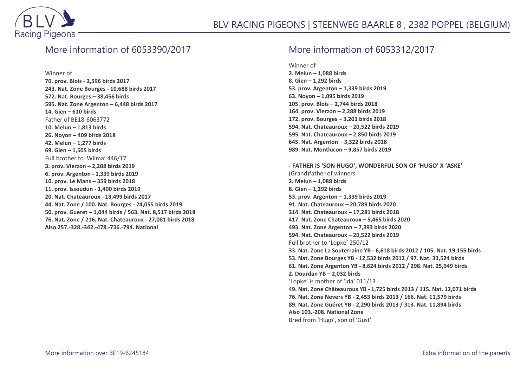

#### More information of 6053390/2017

Winner of

**70. prov. Blois - 2,596 birds 2017 243. Nat. Zone Bourges - 10,688 birds 2017 572. Nat. Bourges – 38,456 birds 595. Nat. Zone Argenton – 6,448 birds 2017 14. Gien – 610 birds** Father of BE18-6063772 **10. Melun – 1,813 birds 26. Noyon – 409 birds 2018 42. Melun – 1,277 birds 69. Gien – 1,505 birds** Full brother to 'Wilma' 446/17 **3. prov. Vierzon – 2,288 birds 2019 6. prov. Argenton - 1,339 birds 2019 10. prov. Le Mans – 359 birds 2018 11. prov. Issoudun - 1,400 birds 2019 20. Nat. Chateauroux - 18,499 birds 2017 44. Nat. Zone / 100. Nat. Bourges - 24,055 birds 2019 50. prov. Gueret – 1,044 birds / 563. Nat. 8,517 birds 2018 76. Nat. Zone / 216. Nat. Chateauroux - 27,081 birds 2018 Also 257.-328.-342.-478.-736.-794. National**

### More information of 6053312/2017

Winner of

**2. Melun – 1,088 birds 8. Gien – 1,292 birds 53. prov. Argenton – 1,339 birds 2019 63. Noyon – 1,095 birds 2019 105. prov. Blois – 2,744 birds 2018 164. prov. Vierzon – 2,288 birds 2019 172. prov. Bourges – 3,201 birds 2018 594. Nat. Chateauroux – 20,522 birds 2019 595. Nat. Chateauroux – 2,850 birds 2019 645. Nat. Argenton – 3,322 birds 2018 989. Nat. Montlucon – 9,857 birds 2019**

**- FATHER IS 'SON HUGO', WONDERFUL SON OF 'HUGO' X 'ASKE'** (Grand)father of winners **2. Melun – 1,088 birds 8. Gien – 1,292 birds 53. prov. Argenton – 1,339 birds 2019 91. Nat. Chateauroux – 20,789 birds 2020 314. Nat. Chateauroux – 17,281 birds 2018 417. Nat. Zone Chateauroux – 5,465 birds 2020 493. Nat. Zone Argenton – 7,393 birds 2020 594. Nat. Chateauroux – 20,522 birds 2019** Full brother to 'Lopke' 250/12 **33. Nat. Zone La Souterraine YB - 6,618 birds 2012 / 105. Nat. 19,155 birds 53. Nat. Zone Bourges YB - 12,532 birds 2012 / 97. Nat. 33,524 birds 61. Nat. Zone Argenton YB - 8,624 birds 2012 / 298. Nat. 25,949 birds 2. Dourdan YB – 2,032 birds** 'Lopke' is mother of 'Ida' 011/13 **49. Nat. Zone Châteauroux YB - 1,725 birds 2013 / 115. Nat. 12,071 birds 76. Nat. Zone Nevers YB - 2,453 birds 2013 / 166. Nat. 11,579 birds 89. Nat. Zone Guéret YB - 2,290 birds 2013 / 313. Nat. 11,894 birds Also 103.-208. National Zone** Bred from 'Hugo', son of 'Gust'